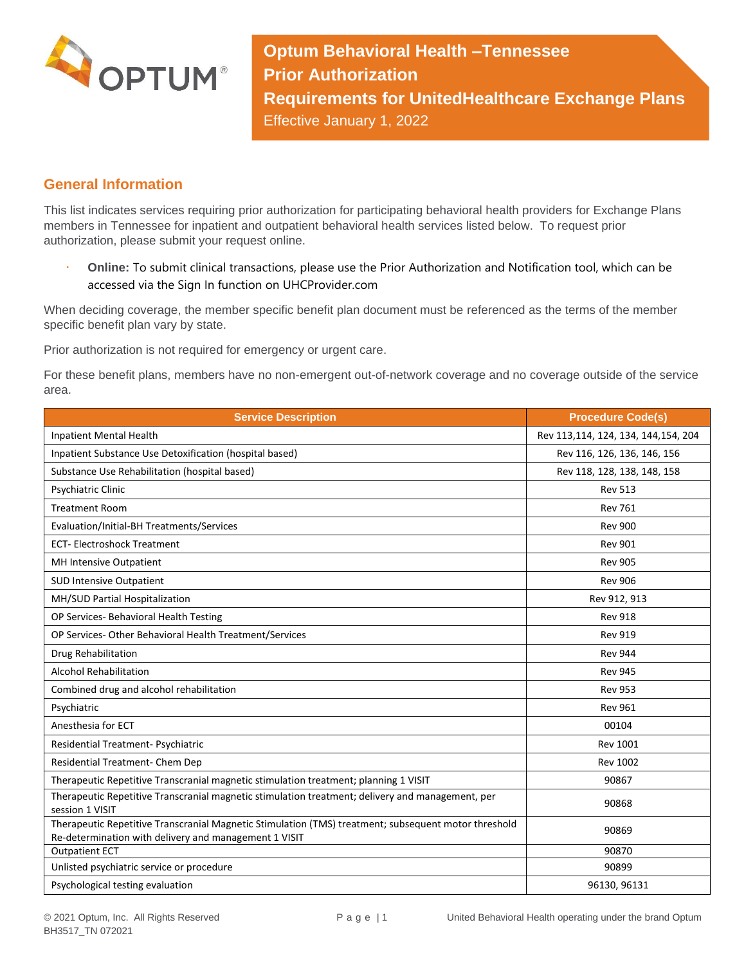

**Optum Behavioral Health –Tennessee Prior Authorization Requirements for UnitedHealthcare Exchange Plans** Effective January 1, 2022

## **General Information**

This list indicates services requiring prior authorization for participating behavioral health providers for Exchange Plans members in Tennessee for inpatient and outpatient behavioral health services listed below. To request prior authorization, please submit your request online.

 **Online:** To submit clinical transactions, please use the Prior Authorization and Notification tool, which can be accessed via the Sign In function on UHCProvider.com

When deciding coverage, the member specific benefit plan document must be referenced as the terms of the member specific benefit plan vary by state.

Prior authorization is not required for emergency or urgent care.

For these benefit plans, members have no non-emergent out-of-network coverage and no coverage outside of the service area.

| <b>Service Description</b>                                                                                                                                    | <b>Procedure Code(s)</b>            |
|---------------------------------------------------------------------------------------------------------------------------------------------------------------|-------------------------------------|
| Inpatient Mental Health                                                                                                                                       | Rev 113,114, 124, 134, 144,154, 204 |
| Inpatient Substance Use Detoxification (hospital based)                                                                                                       | Rev 116, 126, 136, 146, 156         |
| Substance Use Rehabilitation (hospital based)                                                                                                                 | Rev 118, 128, 138, 148, 158         |
| Psychiatric Clinic                                                                                                                                            | <b>Rev 513</b>                      |
| <b>Treatment Room</b>                                                                                                                                         | <b>Rev 761</b>                      |
| Evaluation/Initial-BH Treatments/Services                                                                                                                     | <b>Rev 900</b>                      |
| <b>ECT-Electroshock Treatment</b>                                                                                                                             | <b>Rev 901</b>                      |
| MH Intensive Outpatient                                                                                                                                       | <b>Rev 905</b>                      |
| <b>SUD Intensive Outpatient</b>                                                                                                                               | <b>Rev 906</b>                      |
| MH/SUD Partial Hospitalization                                                                                                                                | Rev 912, 913                        |
| OP Services- Behavioral Health Testing                                                                                                                        | <b>Rev 918</b>                      |
| OP Services- Other Behavioral Health Treatment/Services                                                                                                       | <b>Rev 919</b>                      |
| Drug Rehabilitation                                                                                                                                           | <b>Rev 944</b>                      |
| <b>Alcohol Rehabilitation</b>                                                                                                                                 | <b>Rev 945</b>                      |
| Combined drug and alcohol rehabilitation                                                                                                                      | <b>Rev 953</b>                      |
| Psychiatric                                                                                                                                                   | <b>Rev 961</b>                      |
| Anesthesia for ECT                                                                                                                                            | 00104                               |
| Residential Treatment- Psychiatric                                                                                                                            | <b>Rev 1001</b>                     |
| Residential Treatment- Chem Dep                                                                                                                               | <b>Rev 1002</b>                     |
| Therapeutic Repetitive Transcranial magnetic stimulation treatment; planning 1 VISIT                                                                          | 90867                               |
| Therapeutic Repetitive Transcranial magnetic stimulation treatment; delivery and management, per<br>session 1 VISIT                                           | 90868                               |
| Therapeutic Repetitive Transcranial Magnetic Stimulation (TMS) treatment; subsequent motor threshold<br>Re-determination with delivery and management 1 VISIT | 90869                               |
| <b>Outpatient ECT</b>                                                                                                                                         | 90870                               |
| Unlisted psychiatric service or procedure                                                                                                                     | 90899                               |
| Psychological testing evaluation                                                                                                                              | 96130, 96131                        |